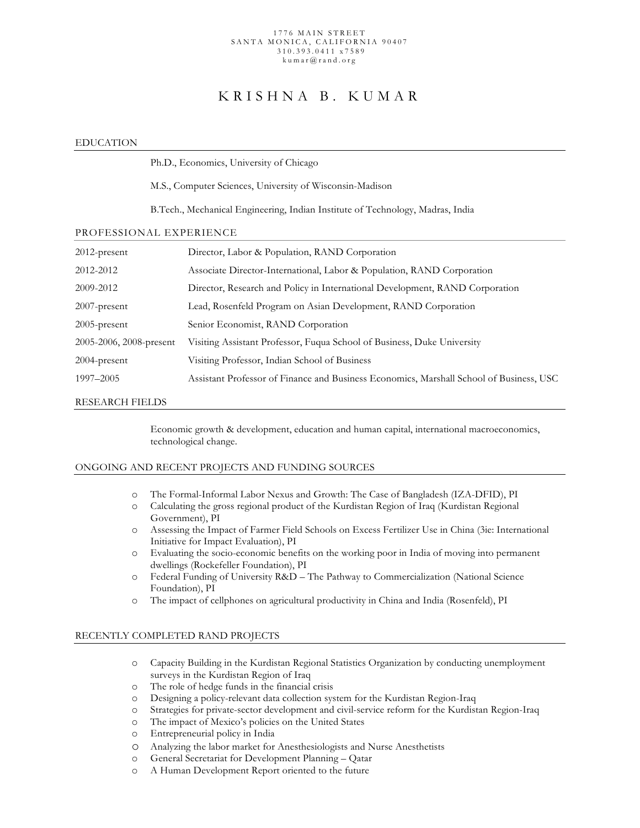#### 1776 MAIN STREET SANTA MONICA, CALIFO RNIA 90407 310.393.0411 x 7589 kumar@rand.org

# KRISHNA B. KUMAR

## EDUCATION

|                         | Ph.D., Economics, University of Chicago                                                 |
|-------------------------|-----------------------------------------------------------------------------------------|
|                         | M.S., Computer Sciences, University of Wisconsin-Madison                                |
|                         | B.Tech., Mechanical Engineering, Indian Institute of Technology, Madras, India          |
| PROFESSIONAL EXPERIENCE |                                                                                         |
| 2012-present            | Director, Labor & Population, RAND Corporation                                          |
| 2012-2012               | Associate Director-International, Labor & Population, RAND Corporation                  |
| 2009-2012               | Director, Research and Policy in International Development, RAND Corporation            |
| 2007-present            | Lead, Rosenfeld Program on Asian Development, RAND Corporation                          |
| 2005-present            | Senior Economist, RAND Corporation                                                      |
| 2005-2006, 2008-present | Visiting Assistant Professor, Fuqua School of Business, Duke University                 |
| 2004-present            | Visiting Professor, Indian School of Business                                           |
| 1997–2005               | Assistant Professor of Finance and Business Economics, Marshall School of Business, USC |
|                         |                                                                                         |

### RESEARCH FIELDS

 Economic growth & development, education and human capital, international macroeconomics, technological change.

# ONGOING AND RECENT PROJECTS AND FUNDING SOURCES

- o The Formal-Informal Labor Nexus and Growth: The Case of Bangladesh (IZA-DFID), PI
- o Calculating the gross regional product of the Kurdistan Region of Iraq (Kurdistan Regional Government), PI
- o Assessing the Impact of Farmer Field Schools on Excess Fertilizer Use in China (3ie: International Initiative for Impact Evaluation), PI
- o Evaluating the socio-economic benefits on the working poor in India of moving into permanent dwellings (Rockefeller Foundation), PI
- o Federal Funding of University R&D The Pathway to Commercialization (National Science Foundation), PI
- o The impact of cellphones on agricultural productivity in China and India (Rosenfeld), PI

# RECENTLY COMPLETED RAND PROJECTS

- o Capacity Building in the Kurdistan Regional Statistics Organization by conducting unemployment surveys in the Kurdistan Region of Iraq
- o The role of hedge funds in the financial crisis
- o Designing a policy-relevant data collection system for the Kurdistan Region-Iraq
- o Strategies for private-sector development and civil-service reform for the Kurdistan Region-Iraq
- o The impact of Mexico's policies on the United States
- o Entrepreneurial policy in India
- o Analyzing the labor market for Anesthesiologists and Nurse Anesthetists
- o General Secretariat for Development Planning Qatar
- o A Human Development Report oriented to the future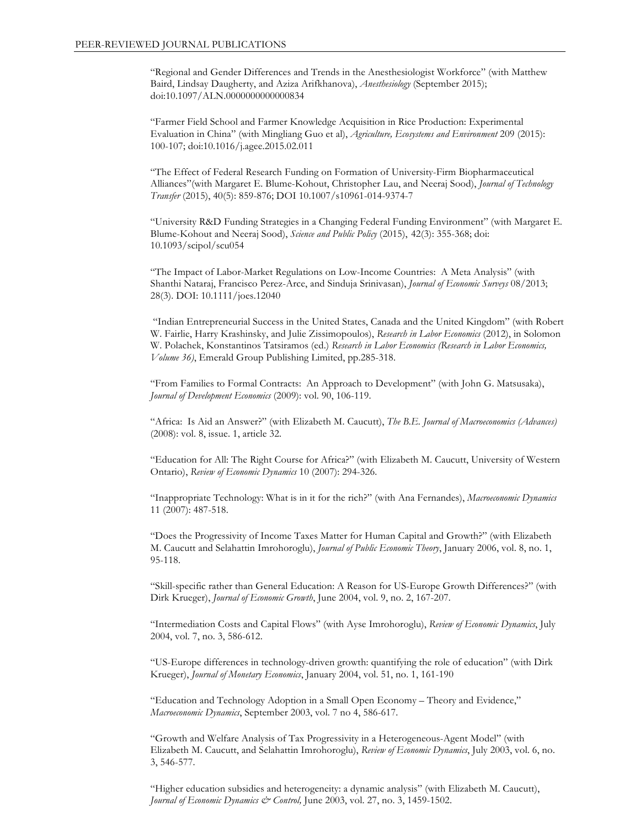"Regional and Gender Differences and Trends in the Anesthesiologist Workforce" (with Matthew Baird, Lindsay Daugherty, and Aziza Arifkhanova), *Anesthesiology* (September 2015); doi:10.1097/ALN.0000000000000834

"Farmer Field School and Farmer Knowledge Acquisition in Rice Production: Experimental Evaluation in China" (with Mingliang Guo et al), *Agriculture, Ecosystems and Environment* 209 (2015): 100-107; doi:10.1016/j.agee.2015.02.011

"The Effect of Federal Research Funding on Formation of University-Firm Biopharmaceutical Alliances"(with Margaret E. Blume-Kohout, Christopher Lau, and Neeraj Sood), *Journal of Technology Transfer* (2015), 40(5): 859-876; DOI 10.1007/s10961-014-9374-7

"University R&D Funding Strategies in a Changing Federal Funding Environment" (with Margaret E. Blume-Kohout and Neeraj Sood), *Science and Public Policy* (2015), 42(3): 355-368; doi: 10.1093/scipol/scu054

"The Impact of Labor-Market Regulations on Low-Income Countries: A Meta Analysis" (with Shanthi Nataraj, Francisco Perez-Arce, and Sinduja Srinivasan), *Journal of Economic Surveys* 08/2013; 28(3). DOI: 10.1111/joes.12040

"Indian Entrepreneurial Success in the United States, Canada and the United Kingdom" (with Robert W. Fairlie, Harry Krashinsky, and Julie Zissimopoulos), *Research in Labor Economics* (2012), in Solomon W. Polachek, Konstantinos Tatsiramos (ed.) *Research in Labor Economics (Research in Labor Economics, Volume 36)*, Emerald Group Publishing Limited, pp.285-318.

"From Families to Formal Contracts: An Approach to Development" (with John G. Matsusaka), *Journal of Development Economics* (2009): vol. 90, 106-119.

"Africa: Is Aid an Answer?" (with Elizabeth M. Caucutt), *The B.E. Journal of Macroeconomics (Advances)* (2008): vol. 8, issue. 1, article 32.

"Education for All: The Right Course for Africa?" (with Elizabeth M. Caucutt, University of Western Ontario), *Review of Economic Dynamics* 10 (2007): 294-326.

"Inappropriate Technology: What is in it for the rich?" (with Ana Fernandes), *Macroeconomic Dynamics* 11 (2007): 487-518.

"Does the Progressivity of Income Taxes Matter for Human Capital and Growth?" (with Elizabeth M. Caucutt and Selahattin Imrohoroglu), *Journal of Public Economic Theory*, January 2006, vol. 8, no. 1, 95-118.

"Skill-specific rather than General Education: A Reason for US-Europe Growth Differences?" (with Dirk Krueger), *Journal of Economic Growth*, June 2004, vol. 9, no. 2, 167-207*.*

"Intermediation Costs and Capital Flows" (with Ayse Imrohoroglu), *Review of Economic Dynamics*, July 2004, vol. 7, no. 3, 586-612.

"US-Europe differences in technology-driven growth: quantifying the role of education" (with Dirk Krueger), *Journal of Monetary Economics*, January 2004, vol. 51, no. 1, 161-190

"Education and Technology Adoption in a Small Open Economy – Theory and Evidence," *Macroeconomic Dynamics*, September 2003, vol. 7 no 4, 586-617.

"Growth and Welfare Analysis of Tax Progressivity in a Heterogeneous-Agent Model" (with Elizabeth M. Caucutt, and Selahattin Imrohoroglu), *Review of Economic Dynamics*, July 2003, vol. 6, no. 3, 546-577.

"Higher education subsidies and heterogeneity: a dynamic analysis" (with Elizabeth M. Caucutt), *Journal of Economic Dynamics & Control, June 2003, vol. 27, no. 3, 1459-1502.*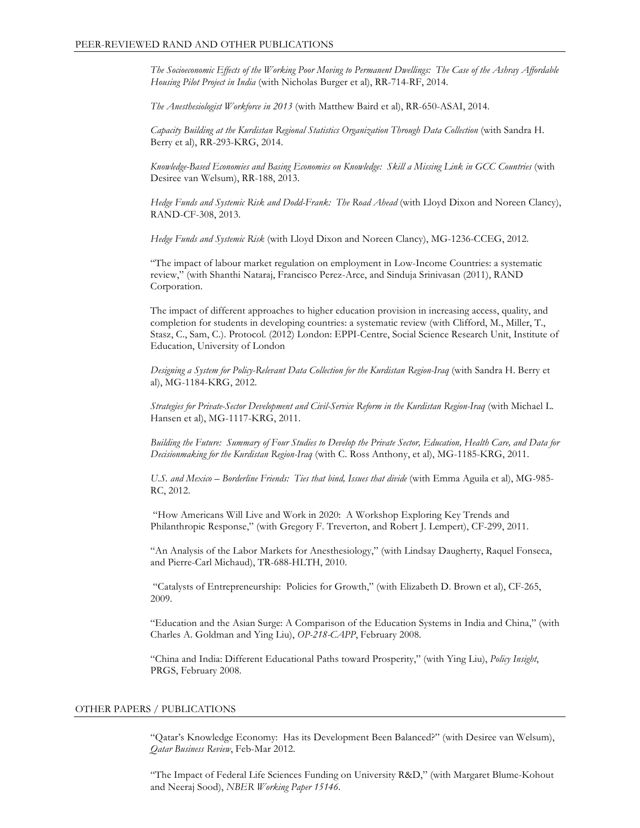*The Socioeconomic Effects of the Working Poor Moving to Permanent Dwellings: The Case of the Ashray Affordable Housing Pilot Project in India* (with Nicholas Burger et al), RR-714-RF, 2014.

*The Anesthesiologist Workforce in 2013* (with Matthew Baird et al), RR-650-ASAI, 2014.

*Capacity Building at the Kurdistan Regional Statistics Organization Through Data Collection* (with Sandra H. Berry et al), RR-293-KRG, 2014.

*Knowledge-Based Economies and Basing Economies on Knowledge: Skill a Missing Link in GCC Countries* (with Desiree van Welsum), RR-188, 2013.

*Hedge Funds and Systemic Risk and Dodd-Frank: The Road Ahead* (with Lloyd Dixon and Noreen Clancy), RAND-CF-308, 2013.

*Hedge Funds and Systemic Risk* (with Lloyd Dixon and Noreen Clancy), MG-1236-CCEG, 2012.

"The impact of labour market regulation on employment in Low-Income Countries: a systematic review," (with Shanthi Nataraj, Francisco Perez-Arce, and Sinduja Srinivasan (2011), RAND Corporation.

The impact of different approaches to higher education provision in increasing access, quality, and completion for students in developing countries: a systematic review (with Clifford, M., Miller, T., Stasz, C., Sam, C.). Protocol. (2012) London: EPPI-Centre, Social Science Research Unit, Institute of Education, University of London

*Designing a System for Policy-Relevant Data Collection for the Kurdistan Region-Iraq* (with Sandra H. Berry et al), MG-1184-KRG, 2012.

*Strategies for Private-Sector Development and Civil-Service Reform in the Kurdistan Region-Iraq* (with Michael L. Hansen et al), MG-1117-KRG, 2011.

*Building the Future: Summary of Four Studies to Develop the Private Sector, Education, Health Care, and Data for Decisionmaking for the Kurdistan Region-Iraq* (with C. Ross Anthony, et al), MG-1185-KRG, 2011.

*U.S. and Mexico – Borderline Friends: Ties that bind, Issues that divide* (with Emma Aguila et al), MG-985- RC, 2012.

"How Americans Will Live and Work in 2020: A Workshop Exploring Key Trends and Philanthropic Response," (with Gregory F. Treverton, and Robert J. Lempert), CF-299, 2011.

"An Analysis of the Labor Markets for Anesthesiology," (with Lindsay Daugherty, Raquel Fonseca, and Pierre-Carl Michaud), TR-688-HLTH, 2010.

"Catalysts of Entrepreneurship: Policies for Growth," (with Elizabeth D. Brown et al), CF-265, 2009.

"Education and the Asian Surge: A Comparison of the Education Systems in India and China," (with Charles A. Goldman and Ying Liu), *OP-218-CAPP*, February 2008.

"China and India: Different Educational Paths toward Prosperity," (with Ying Liu), *Policy Insight*, PRGS, February 2008.

### OTHER PAPERS / PUBLICATIONS

"Qatar's Knowledge Economy: Has its Development Been Balanced?" (with Desiree van Welsum), *Qatar Business Review*, Feb-Mar 2012.

"The Impact of Federal Life Sciences Funding on University R&D," (with Margaret Blume-Kohout and Neeraj Sood), *NBER Working Paper 15146*.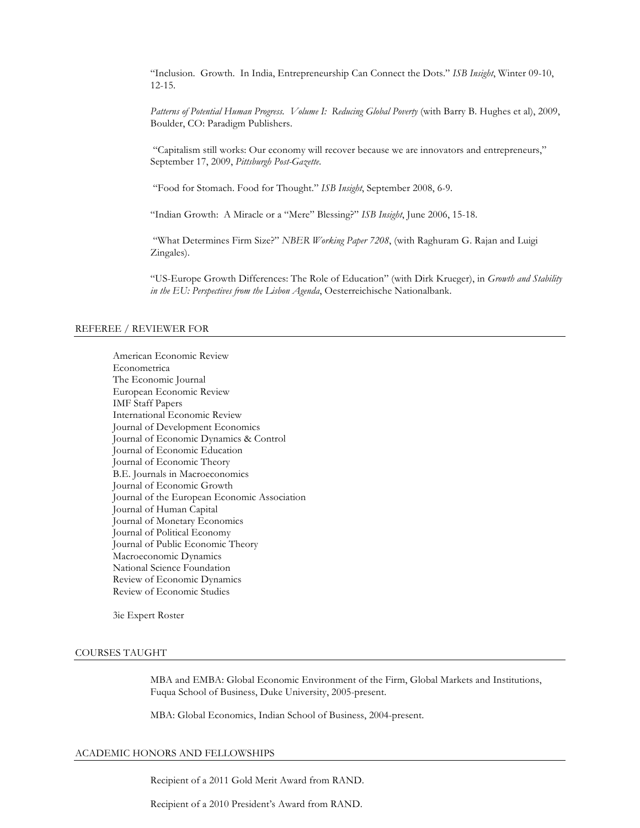"Inclusion. Growth. In India, Entrepreneurship Can Connect the Dots." *ISB Insight*, Winter 09-10, 12-15.

*Patterns of Potential Human Progress. Volume I: Reducing Global Poverty* (with Barry B. Hughes et al), 2009, Boulder, CO: Paradigm Publishers.

"Capitalism still works: Our economy will recover because we are innovators and entrepreneurs," September 17, 2009, *Pittsburgh Post-Gazette*.

"Food for Stomach. Food for Thought." *ISB Insight*, September 2008, 6-9.

"Indian Growth: A Miracle or a "Mere" Blessing?" *ISB Insight*, June 2006, 15-18.

"What Determines Firm Size?" *NBER Working Paper 7208*, (with Raghuram G. Rajan and Luigi Zingales).

"US-Europe Growth Differences: The Role of Education" (with Dirk Krueger), in *Growth and Stability in the EU: Perspectives from the Lisbon Agenda*, Oesterreichische Nationalbank.

#### REFEREE / REVIEWER FOR

American Economic Review Econometrica The Economic Journal European Economic Review IMF Staff Papers International Economic Review Journal of Development Economics Journal of Economic Dynamics & Control Journal of Economic Education Journal of Economic Theory B.E. Journals in Macroeconomics Journal of Economic Growth Journal of the European Economic Association Journal of Human Capital Journal of Monetary Economics Journal of Political Economy Journal of Public Economic Theory Macroeconomic Dynamics National Science Foundation Review of Economic Dynamics Review of Economic Studies

3ie Expert Roster

#### COURSES TAUGHT

MBA and EMBA: Global Economic Environment of the Firm, Global Markets and Institutions, Fuqua School of Business, Duke University, 2005-present.

MBA: Global Economics, Indian School of Business, 2004-present.

## ACADEMIC HONORS AND FELLOWSHIPS

Recipient of a 2011 Gold Merit Award from RAND.

Recipient of a 2010 President's Award from RAND.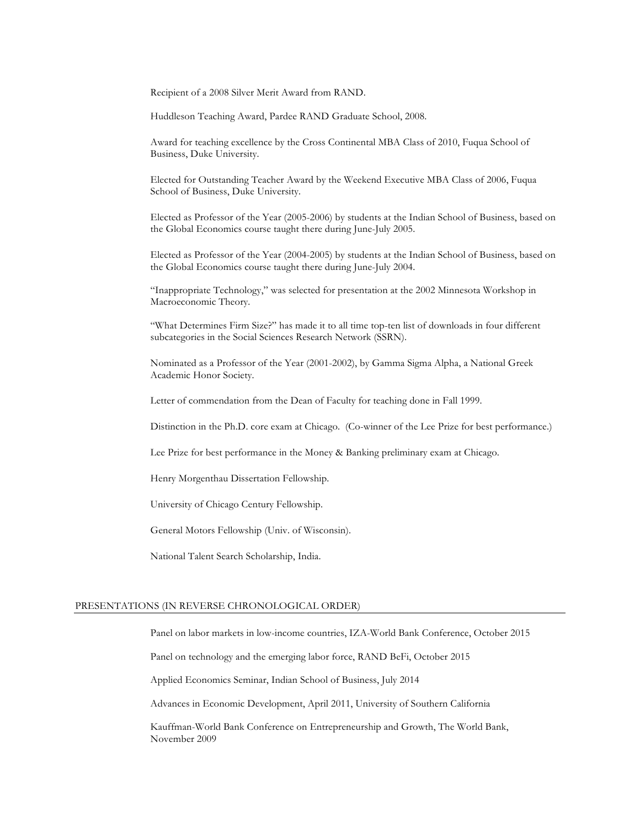Recipient of a 2008 Silver Merit Award from RAND.

Huddleson Teaching Award, Pardee RAND Graduate School, 2008.

Award for teaching excellence by the Cross Continental MBA Class of 2010, Fuqua School of Business, Duke University.

Elected for Outstanding Teacher Award by the Weekend Executive MBA Class of 2006, Fuqua School of Business, Duke University.

Elected as Professor of the Year (2005-2006) by students at the Indian School of Business, based on the Global Economics course taught there during June-July 2005.

Elected as Professor of the Year (2004-2005) by students at the Indian School of Business, based on the Global Economics course taught there during June-July 2004.

"Inappropriate Technology," was selected for presentation at the 2002 Minnesota Workshop in Macroeconomic Theory.

"What Determines Firm Size?" has made it to all time top-ten list of downloads in four different subcategories in the Social Sciences Research Network (SSRN).

Nominated as a Professor of the Year (2001-2002), by Gamma Sigma Alpha, a National Greek Academic Honor Society.

Letter of commendation from the Dean of Faculty for teaching done in Fall 1999.

Distinction in the Ph.D. core exam at Chicago. (Co-winner of the Lee Prize for best performance.)

Lee Prize for best performance in the Money & Banking preliminary exam at Chicago.

Henry Morgenthau Dissertation Fellowship.

University of Chicago Century Fellowship.

General Motors Fellowship (Univ. of Wisconsin).

National Talent Search Scholarship, India.

#### PRESENTATIONS (IN REVERSE CHRONOLOGICAL ORDER)

Panel on labor markets in low-income countries, IZA-World Bank Conference, October 2015

Panel on technology and the emerging labor force, RAND BeFi, October 2015

Applied Economics Seminar, Indian School of Business, July 2014

Advances in Economic Development, April 2011, University of Southern California

Kauffman-World Bank Conference on Entrepreneurship and Growth, The World Bank, November 2009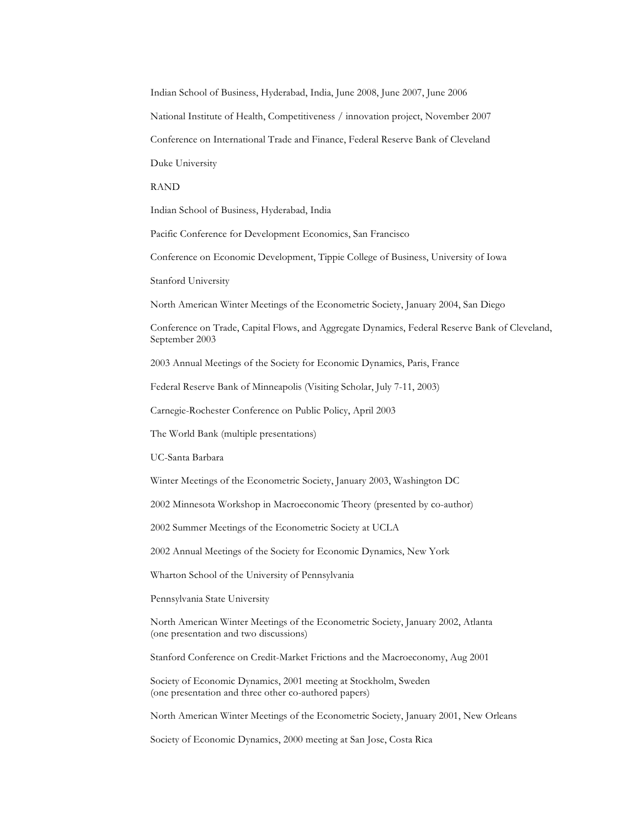Indian School of Business, Hyderabad, India, June 2008, June 2007, June 2006

National Institute of Health, Competitiveness / innovation project, November 2007

Conference on International Trade and Finance, Federal Reserve Bank of Cleveland

Duke University

RAND

Indian School of Business, Hyderabad, India

Pacific Conference for Development Economics, San Francisco

Conference on Economic Development, Tippie College of Business, University of Iowa

Stanford University

North American Winter Meetings of the Econometric Society, January 2004, San Diego

Conference on Trade, Capital Flows, and Aggregate Dynamics, Federal Reserve Bank of Cleveland, September 2003

2003 Annual Meetings of the Society for Economic Dynamics, Paris, France

Federal Reserve Bank of Minneapolis (Visiting Scholar, July 7-11, 2003)

Carnegie-Rochester Conference on Public Policy, April 2003

The World Bank (multiple presentations)

UC-Santa Barbara

Winter Meetings of the Econometric Society, January 2003, Washington DC

2002 Minnesota Workshop in Macroeconomic Theory (presented by co-author)

2002 Summer Meetings of the Econometric Society at UCLA

2002 Annual Meetings of the Society for Economic Dynamics, New York

Wharton School of the University of Pennsylvania

Pennsylvania State University

North American Winter Meetings of the Econometric Society, January 2002, Atlanta (one presentation and two discussions)

Stanford Conference on Credit-Market Frictions and the Macroeconomy, Aug 2001

Society of Economic Dynamics, 2001 meeting at Stockholm, Sweden (one presentation and three other co-authored papers)

North American Winter Meetings of the Econometric Society, January 2001, New Orleans

Society of Economic Dynamics, 2000 meeting at San Jose, Costa Rica